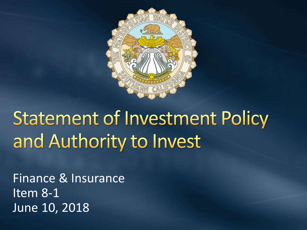

# **Statement of Investment Policy** and Authority to Invest

Finance & Insurance Item 8-1 June 10, 2018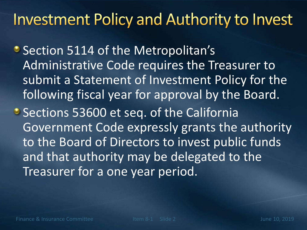## **Investment Policy and Authority to Invest**

- Section 5114 of the Metropolitan's Administrative Code requires the Treasurer to submit a Statement of Investment Policy for the following fiscal year for approval by the Board.
- Sections 53600 et seq. of the California Government Code expressly grants the authority to the Board of Directors to invest public funds and that authority may be delegated to the Treasurer for a one year period.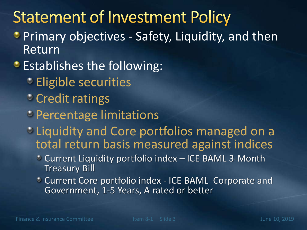## **Statement of Investment Policy**

- **Primary objectives Safety, Liquidity, and then** Return
- **Establishes the following:** 
	- Eligible securities
	- Credit ratings
	- Percentage limitations
	- Liquidity and Core portfolios managed on a total return basis measured against indices
		- Current Liquidity portfolio index ICE BAML 3-Month Treasury Bill
		- Current Core portfolio index ICE BAML Corporate and Government, 1-5 Years, A rated or better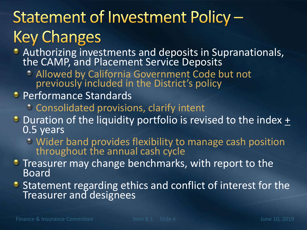## Statement of Investment Policy -**Key Changes**

- Authorizing investments and deposits in Supranationals, the CAMP, and Placement Service Deposits
	- Allowed by California Government Code but not previously included in the District's policy
- **Performance Standards** 
	- Consolidated provisions, clarify intent
- $\bullet$  Duration of the liquidity portfolio is revised to the index  $\pm$ 0.5 years
	- Wider band provides flexibility to manage cash position throughout the annual cash cycle
- **•** Treasurer may change benchmarks, with report to the Board
- **Statement regarding ethics and conflict of interest for the** Treasurer and designees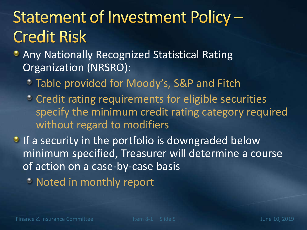## Statement of Investment Policy -**Credit Risk**

- **Any Nationally Recognized Statistical Rating** Organization (NRSRO):
	- **Table provided for Moody's, S&P and Fitch**
	- **Credit rating requirements for eligible securities** specify the minimum credit rating category required without regard to modifiers
- If a security in the portfolio is downgraded below minimum specified, Treasurer will determine a course of action on a case-by-case basis
	- Noted in monthly report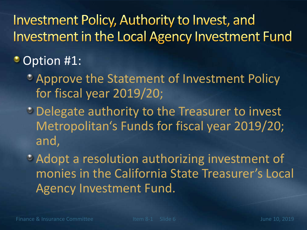### Investment Policy, Authority to Invest, and Investment in the Local Agency Investment Fund

#### Option #1:

- Approve the Statement of Investment Policy for fiscal year 2019/20;
- Delegate authority to the Treasurer to invest Metropolitan's Funds for fiscal year 2019/20; and,
- Adopt a resolution authorizing investment of monies in the California State Treasurer's Local Agency Investment Fund.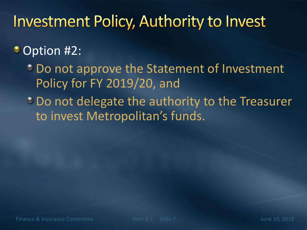## **Investment Policy, Authority to Invest**

#### Option #2:

**Do not approve the Statement of Investment** Policy for FY 2019/20, and

<sup>•</sup> Do not delegate the authority to the Treasurer to invest Metropolitan's funds.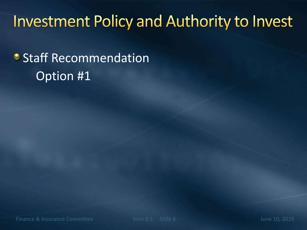## **Investment Policy and Authority to Invest**

## **• Staff Recommendation** Option #1